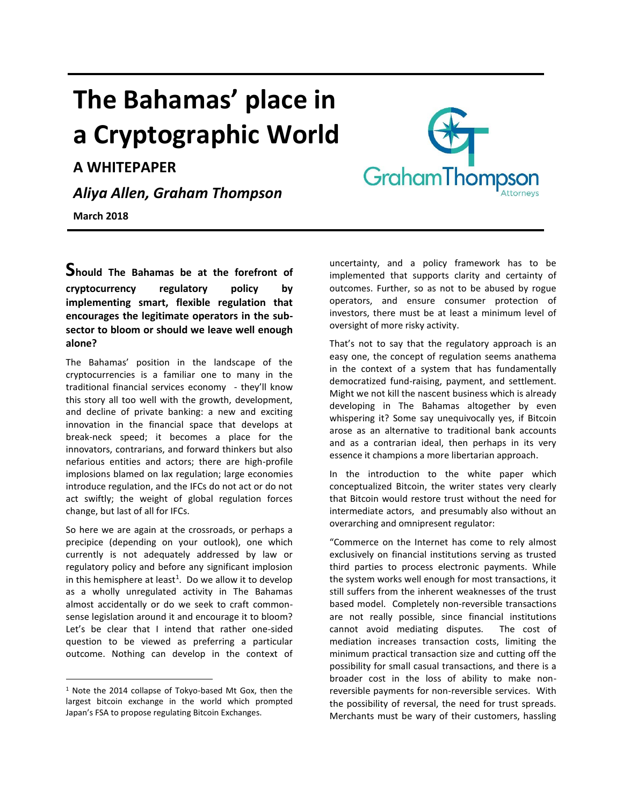# **The Bahamas' place in a Cryptographic World**

**A WHITEPAPER**

*Aliya Allen, Graham Thompson*

**March 2018**

**Should The Bahamas be at the forefront of cryptocurrency regulatory policy by implementing smart, flexible regulation that encourages the legitimate operators in the subsector to bloom or should we leave well enough alone?**

The Bahamas' position in the landscape of the cryptocurrencies is a familiar one to many in the traditional financial services economy - they'll know this story all too well with the growth, development, and decline of private banking: a new and exciting innovation in the financial space that develops at break-neck speed; it becomes a place for the innovators, contrarians, and forward thinkers but also nefarious entities and actors; there are high-profile implosions blamed on lax regulation; large economies introduce regulation, and the IFCs do not act or do not act swiftly; the weight of global regulation forces change, but last of all for IFCs.

So here we are again at the crossroads, or perhaps a precipice (depending on your outlook), one which currently is not adequately addressed by law or regulatory policy and before any significant implosion in this hemisphere at least<sup>1</sup>. Do we allow it to develop as a wholly unregulated activity in The Bahamas almost accidentally or do we seek to craft commonsense legislation around it and encourage it to bloom? Let's be clear that I intend that rather one-sided question to be viewed as preferring a particular outcome. Nothing can develop in the context of

 $\overline{a}$ 

uncertainty, and a policy framework has to be implemented that supports clarity and certainty of outcomes. Further, so as not to be abused by rogue operators, and ensure consumer protection of investors, there must be at least a minimum level of oversight of more risky activity.

That's not to say that the regulatory approach is an easy one, the concept of regulation seems anathema in the context of a system that has fundamentally democratized fund-raising, payment, and settlement. Might we not kill the nascent business which is already developing in The Bahamas altogether by even whispering it? Some say unequivocally yes, if Bitcoin arose as an alternative to traditional bank accounts and as a contrarian ideal, then perhaps in its very essence it champions a more libertarian approach.

In the introduction to the white paper which conceptualized Bitcoin, the writer states very clearly that Bitcoin would restore trust without the need for intermediate actors, and presumably also without an overarching and omnipresent regulator:

"Commerce on the Internet has come to rely almost exclusively on financial institutions serving as trusted third parties to process electronic payments. While the system works well enough for most transactions, it still suffers from the inherent weaknesses of the trust based model. Completely non-reversible transactions are not really possible, since financial institutions cannot avoid mediating disputes. The cost of mediation increases transaction costs, limiting the minimum practical transaction size and cutting off the possibility for small casual transactions, and there is a broader cost in the loss of ability to make nonreversible payments for non-reversible services. With the possibility of reversal, the need for trust spreads. Merchants must be wary of their customers, hassling



<sup>1</sup> Note the 2014 collapse of Tokyo-based Mt Gox, then the largest bitcoin exchange in the world which prompted Japan's FSA to propose regulating Bitcoin Exchanges.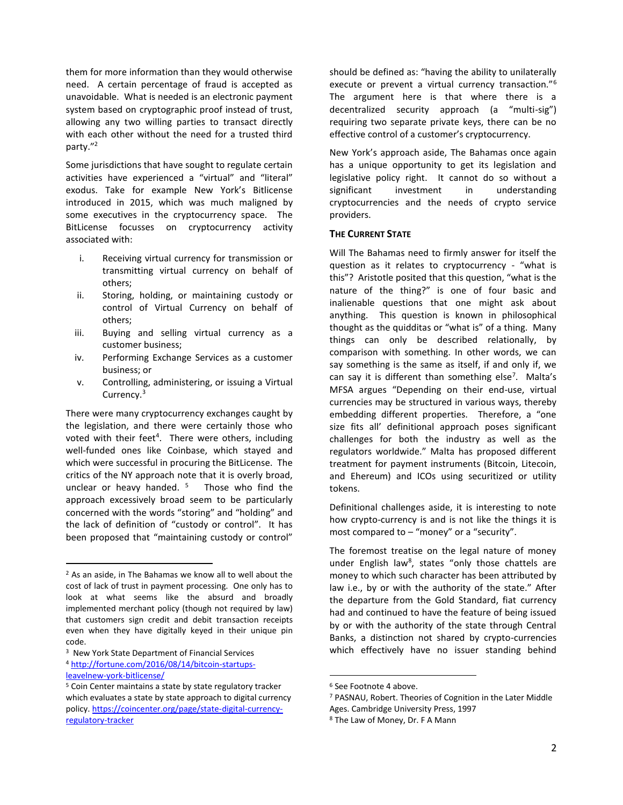them for more information than they would otherwise need. A certain percentage of fraud is accepted as unavoidable. What is needed is an electronic payment system based on cryptographic proof instead of trust, allowing any two willing parties to transact directly with each other without the need for a trusted third party."<sup>2</sup>

Some jurisdictions that have sought to regulate certain activities have experienced a "virtual" and "literal" exodus. Take for example New York's Bitlicense introduced in 2015, which was much maligned by some executives in the cryptocurrency space. The BitLicense focusses on cryptocurrency activity associated with:

- i. Receiving virtual currency for transmission or transmitting virtual currency on behalf of others;
- ii. Storing, holding, or maintaining custody or control of Virtual Currency on behalf of others;
- iii. Buying and selling virtual currency as a customer business;
- iv. Performing Exchange Services as a customer business; or
- v. Controlling, administering, or issuing a Virtual Currency.<sup>3</sup>

There were many cryptocurrency exchanges caught by the legislation, and there were certainly those who voted with their feet<sup>4</sup>. There were others, including well-funded ones like Coinbase, which stayed and which were successful in procuring the BitLicense. The critics of the NY approach note that it is overly broad, unclear or heavy handed.  $5$  Those who find the approach excessively broad seem to be particularly concerned with the words "storing" and "holding" and the lack of definition of "custody or control". It has been proposed that "maintaining custody or control"

3 New York State Department of Financial Services

<sup>4</sup> [http://fortune.com/2016/08/14/bitcoin-startups-](http://fortune.com/2016/08/14/bitcoin-startups-leavelnew-york-bitlicense/)

 $\overline{a}$ 

should be defined as: "having the ability to unilaterally execute or prevent a virtual currency transaction."<sup>6</sup> The argument here is that where there is a decentralized security approach (a "multi-sig") requiring two separate private keys, there can be no effective control of a customer's cryptocurrency.

New York's approach aside, The Bahamas once again has a unique opportunity to get its legislation and legislative policy right. It cannot do so without a significant investment in understanding cryptocurrencies and the needs of crypto service providers.

#### **THE CURRENT STATE**

Will The Bahamas need to firmly answer for itself the question as it relates to cryptocurrency - "what is this"? Aristotle posited that this question, "what is the nature of the thing?" is one of four basic and inalienable questions that one might ask about anything. This question is known in philosophical thought as the quidditas or "what is" of a thing. Many things can only be described relationally, by comparison with something. In other words, we can say something is the same as itself, if and only if, we can say it is different than something else<sup>7</sup>. Malta's MFSA argues "Depending on their end-use, virtual currencies may be structured in various ways, thereby embedding different properties. Therefore, a "one size fits all' definitional approach poses significant challenges for both the industry as well as the regulators worldwide." Malta has proposed different treatment for payment instruments (Bitcoin, Litecoin, and Ehereum) and ICOs using securitized or utility tokens.

Definitional challenges aside, it is interesting to note how crypto-currency is and is not like the things it is most compared to  $-$  "money" or a "security".

The foremost treatise on the legal nature of money under English law<sup>8</sup>, states "only those chattels are money to which such character has been attributed by law i.e., by or with the authority of the state." After the departure from the Gold Standard, fiat currency had and continued to have the feature of being issued by or with the authority of the state through Central Banks, a distinction not shared by crypto-currencies which effectively have no issuer standing behind

 $\overline{\phantom{a}}$ 

<sup>2</sup> As an aside, in The Bahamas we know all to well about the cost of lack of trust in payment processing. One only has to look at what seems like the absurd and broadly implemented merchant policy (though not required by law) that customers sign credit and debit transaction receipts even when they have digitally keyed in their unique pin code.

[leavelnew-york-bitlicense/](http://fortune.com/2016/08/14/bitcoin-startups-leavelnew-york-bitlicense/)

<sup>5</sup> Coin Center maintains a state by state regulatory tracker which evaluates a state by state approach to digital currency policy[. https://coincenter.org/page/state-digital-currency](https://coincenter.org/page/state-digital-currency-regulatory-tracker)[regulatory-tracker](https://coincenter.org/page/state-digital-currency-regulatory-tracker)

<sup>6</sup> See Footnote 4 above.

<sup>7</sup> PASNAU, Robert. Theories of Cognition in the Later Middle Ages. Cambridge University Press, 1997

<sup>8</sup> The Law of Money, Dr. F A Mann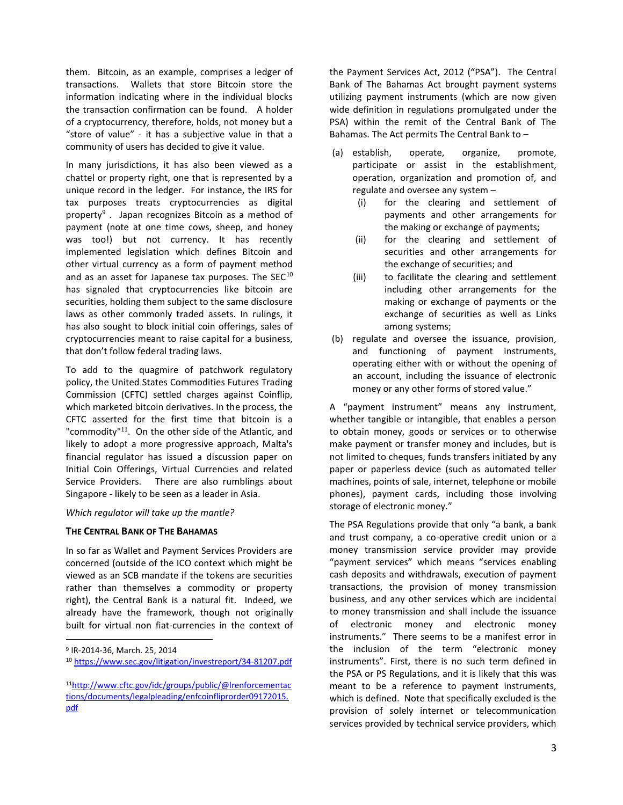them. Bitcoin, as an example, comprises a ledger of transactions. Wallets that store Bitcoin store the information indicating where in the individual blocks the transaction confirmation can be found. A holder of a cryptocurrency, therefore, holds, not money but a "store of value" - it has a subjective value in that a community of users has decided to give it value.

In many jurisdictions, it has also been viewed as a chattel or property right, one that is represented by a unique record in the ledger. For instance, the IRS for tax purposes treats cryptocurrencies as digital property<sup>9</sup>. Japan recognizes Bitcoin as a method of payment (note at one time cows, sheep, and honey was too!) but not currency. It has recently implemented legislation which defines Bitcoin and other virtual currency as a form of payment method and as an asset for Japanese tax purposes. The SEC $^{10}$ has signaled that cryptocurrencies like bitcoin are securities, holding them subject to the same disclosure laws as other commonly traded assets. In rulings, it has also sought to block initial coin offerings, sales of cryptocurrencies meant to raise capital for a business, that don't follow federal trading laws.

To add to the quagmire of patchwork regulatory policy, the United States Commodities Futures Trading Commission (CFTC) settled charges against Coinflip, which marketed bitcoin derivatives. In the process, the CFTC asserted for the first time that bitcoin is a "commodity"<sup>11</sup>. On the other side of the Atlantic, and likely to adopt a more progressive approach, Malta's financial regulator has issued a discussion paper on Initial Coin Offerings, Virtual Currencies and related Service Providers. There are also rumblings about Singapore - likely to be seen as a leader in Asia.

#### *Which regulator will take up the mantle?*

# **THE CENTRAL BANK OF THE BAHAMAS**

In so far as Wallet and Payment Services Providers are concerned (outside of the ICO context which might be viewed as an SCB mandate if the tokens are securities rather than themselves a commodity or property right), the Central Bank is a natural fit. Indeed, we already have the framework, though not originally built for virtual non fiat-currencies in the context of

 $\ddot{\phantom{a}}$ 

<sup>10</sup> <https://www.sec.gov/litigation/investreport/34-81207.pdf>

the Payment Services Act, 2012 ("PSA"). The Central Bank of The Bahamas Act brought payment systems utilizing payment instruments (which are now given wide definition in regulations promulgated under the PSA) within the remit of the Central Bank of The Bahamas. The Act permits The Central Bank to –

- (a) establish, operate, organize, promote, participate or assist in the establishment, operation, organization and promotion of, and regulate and oversee any system –
	- (i) for the clearing and settlement of payments and other arrangements for the making or exchange of payments;
	- (ii) for the clearing and settlement of securities and other arrangements for the exchange of securities; and
	- (iii) to facilitate the clearing and settlement including other arrangements for the making or exchange of payments or the exchange of securities as well as Links among systems;
- (b) regulate and oversee the issuance, provision, and functioning of payment instruments, operating either with or without the opening of an account, including the issuance of electronic money or any other forms of stored value."

A "payment instrument" means any instrument, whether tangible or intangible, that enables a person to obtain money, goods or services or to otherwise make payment or transfer money and includes, but is not limited to cheques, funds transfers initiated by any paper or paperless device (such as automated teller machines, points of sale, internet, telephone or mobile phones), payment cards, including those involving storage of electronic money."

The PSA Regulations provide that only "a bank, a bank and trust company, a co-operative credit union or a money transmission service provider may provide "payment services" which means "services enabling cash deposits and withdrawals, execution of payment transactions, the provision of money transmission business, and any other services which are incidental to money transmission and shall include the issuance of electronic money and electronic money instruments." There seems to be a manifest error in the inclusion of the term "electronic money instruments". First, there is no such term defined in the PSA or PS Regulations, and it is likely that this was meant to be a reference to payment instruments, which is defined. Note that specifically excluded is the provision of solely internet or telecommunication services provided by technical service providers, which

<sup>9</sup> IR-2014-36, March. 25, 2014

<sup>11</sup>[http://www.cftc.gov/idc/groups/public/@lrenforcementac](http://www.cftc.gov/idc/groups/public/@lrenforcementactions/documents/legalpleading/enfcoinfliprorder09172015.pdf) [tions/documents/legalpleading/enfcoinfliprorder09172015.](http://www.cftc.gov/idc/groups/public/@lrenforcementactions/documents/legalpleading/enfcoinfliprorder09172015.pdf) [pdf](http://www.cftc.gov/idc/groups/public/@lrenforcementactions/documents/legalpleading/enfcoinfliprorder09172015.pdf)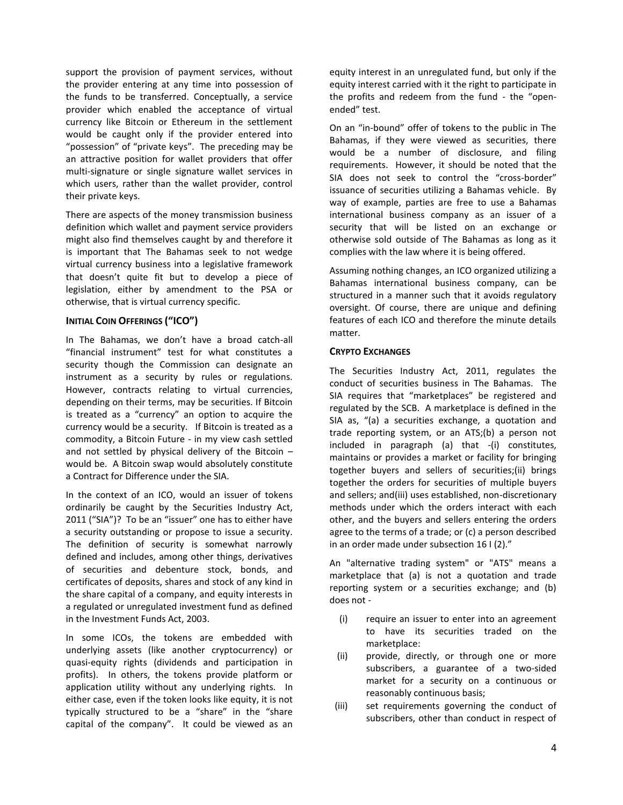support the provision of payment services, without the provider entering at any time into possession of the funds to be transferred. Conceptually, a service provider which enabled the acceptance of virtual currency like Bitcoin or Ethereum in the settlement would be caught only if the provider entered into "possession" of "private keys". The preceding may be an attractive position for wallet providers that offer multi-signature or single signature wallet services in which users, rather than the wallet provider, control their private keys.

There are aspects of the money transmission business definition which wallet and payment service providers might also find themselves caught by and therefore it is important that The Bahamas seek to not wedge virtual currency business into a legislative framework that doesn't quite fit but to develop a piece of legislation, either by amendment to the PSA or otherwise, that is virtual currency specific.

# **INITIAL COIN OFFERINGS ("ICO")**

In The Bahamas, we don't have a broad catch-all "financial instrument" test for what constitutes a security though the Commission can designate an instrument as a security by rules or regulations. However, contracts relating to virtual currencies, depending on their terms, may be securities. If Bitcoin is treated as a "currency" an option to acquire the currency would be a security. If Bitcoin is treated as a commodity, a Bitcoin Future - in my view cash settled and not settled by physical delivery of the Bitcoin – would be. A Bitcoin swap would absolutely constitute a Contract for Difference under the SIA.

In the context of an ICO, would an issuer of tokens ordinarily be caught by the Securities Industry Act, 2011 ("SIA")? To be an "issuer" one has to either have a security outstanding or propose to issue a security. The definition of security is somewhat narrowly defined and includes, among other things, derivatives of securities and debenture stock, bonds, and certificates of deposits, shares and stock of any kind in the share capital of a company, and equity interests in a regulated or unregulated investment fund as defined in the Investment Funds Act, 2003.

In some ICOs, the tokens are embedded with underlying assets (like another cryptocurrency) or quasi-equity rights (dividends and participation in profits). In others, the tokens provide platform or application utility without any underlying rights. In either case, even if the token looks like equity, it is not typically structured to be a "share" in the "share capital of the company". It could be viewed as an equity interest in an unregulated fund, but only if the equity interest carried with it the right to participate in the profits and redeem from the fund - the "openended" test.

On an "in-bound" offer of tokens to the public in The Bahamas, if they were viewed as securities, there would be a number of disclosure, and filing requirements. However, it should be noted that the SIA does not seek to control the "cross-border" issuance of securities utilizing a Bahamas vehicle. By way of example, parties are free to use a Bahamas international business company as an issuer of a security that will be listed on an exchange or otherwise sold outside of The Bahamas as long as it complies with the law where it is being offered.

Assuming nothing changes, an ICO organized utilizing a Bahamas international business company, can be structured in a manner such that it avoids regulatory oversight. Of course, there are unique and defining features of each ICO and therefore the minute details matter.

# **CRYPTO EXCHANGES**

The Securities Industry Act, 2011, regulates the conduct of securities business in The Bahamas. The SIA requires that "marketplaces" be registered and regulated by the SCB. A marketplace is defined in the SIA as, "(a) a securities exchange, a quotation and trade reporting system, or an ATS;(b) a person not included in paragraph (a) that -(i) constitutes, maintains or provides a market or facility for bringing together buyers and sellers of securities;(ii) brings together the orders for securities of multiple buyers and sellers; and(iii) uses established, non-discretionary methods under which the orders interact with each other, and the buyers and sellers entering the orders agree to the terms of a trade; or (c) a person described in an order made under subsection 16 I (2)."

An "alternative trading system" or "ATS" means a marketplace that (a) is not a quotation and trade reporting system or a securities exchange; and (b) does not -

- (i) require an issuer to enter into an agreement to have its securities traded on the marketplace:
- (ii) provide, directly, or through one or more subscribers, a guarantee of a two-sided market for a security on a continuous or reasonably continuous basis;
- (iii) set requirements governing the conduct of subscribers, other than conduct in respect of